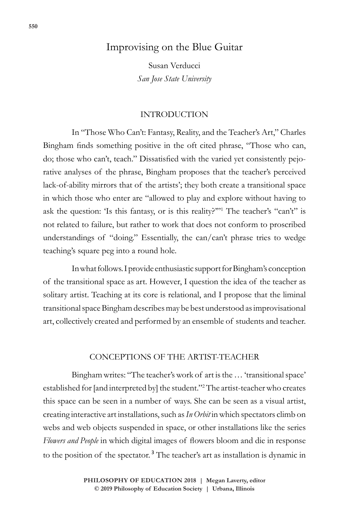# Improvising on the Blue Guitar

Susan Verducci *San Jose State University*

## INTRODUCTION

In "Those Who Can't: Fantasy, Reality, and the Teacher's Art," Charles Bingham finds something positive in the oft cited phrase, "Those who can, do; those who can't, teach." Dissatisfied with the varied yet consistently pejorative analyses of the phrase, Bingham proposes that the teacher's perceived lack-of-ability mirrors that of the artists'; they both create a transitional space in which those who enter are "allowed to play and explore without having to ask the question: 'Is this fantasy, or is this reality?'"<sup>1</sup> The teacher's "can't" is not related to failure, but rather to work that does not conform to proscribed understandings of "doing." Essentially, the can/can't phrase tries to wedge teaching's square peg into a round hole.

In what follows. I provide enthusiastic support for Bingham's conception of the transitional space as art. However, I question the idea of the teacher as solitary artist. Teaching at its core is relational, and I propose that the liminal transitional space Bingham describes may be best understood as improvisational art, collectively created and performed by an ensemble of students and teacher.

## CONCEPTIONS OF THE ARTIST-TEACHER

Bingham writes: "The teacher's work of art is the … 'transitional space' established for [and interpreted by] the student."<sup>2</sup> The artist-teacher who creates this space can be seen in a number of ways. She can be seen as a visual artist, creating interactive art installations, such as *In Orbit* in which spectators climb on webs and web objects suspended in space, or other installations like the series *Flowers and People* in which digital images of flowers bloom and die in response to the position of the spectator.<sup>3</sup> The teacher's art as installation is dynamic in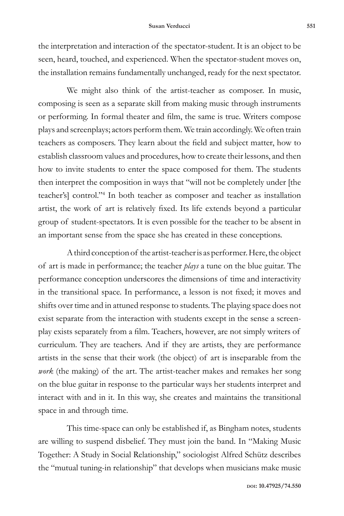the interpretation and interaction of the spectator-student. It is an object to be seen, heard, touched, and experienced. When the spectator-student moves on, the installation remains fundamentally unchanged, ready for the next spectator.

We might also think of the artist-teacher as composer. In music, composing is seen as a separate skill from making music through instruments or performing. In formal theater and film, the same is true. Writers compose plays and screenplays; actors perform them. We train accordingly. We often train teachers as composers. They learn about the field and subject matter, how to establish classroom values and procedures, how to create their lessons, and then how to invite students to enter the space composed for them. The students then interpret the composition in ways that "will not be completely under [the teacher's] control."<sup>4</sup> In both teacher as composer and teacher as installation artist, the work of art is relatively fixed. Its life extends beyond a particular group of student-spectators. It is even possible for the teacher to be absent in an important sense from the space she has created in these conceptions.

A third conception of the artist-teacher is as performer. Here, the object of art is made in performance; the teacher *plays* a tune on the blue guitar. The performance conception underscores the dimensions of time and interactivity in the transitional space. In performance, a lesson is not fixed; it moves and shifts over time and in attuned response to students. The playing space does not exist separate from the interaction with students except in the sense a screenplay exists separately from a film. Teachers, however, are not simply writers of curriculum. They are teachers. And if they are artists, they are performance artists in the sense that their work (the object) of art is inseparable from the *work* (the making) of the art. The artist-teacher makes and remakes her song on the blue guitar in response to the particular ways her students interpret and interact with and in it. In this way, she creates and maintains the transitional space in and through time.

This time-space can only be established if, as Bingham notes, students are willing to suspend disbelief. They must join the band. In "Making Music Together: A Study in Social Relationship," sociologist Alfred Schütz describes the "mutual tuning-in relationship" that develops when musicians make music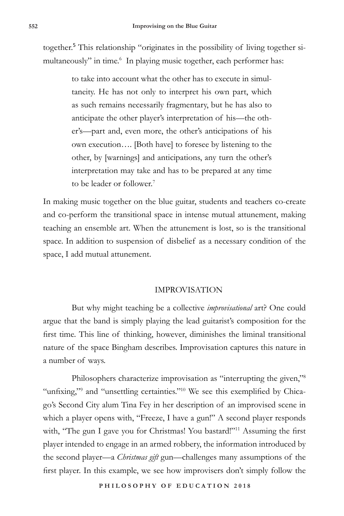together.<sup>5</sup> This relationship "originates in the possibility of living together simultaneously" in time.<sup>6</sup> In playing music together, each performer has:

> to take into account what the other has to execute in simultaneity. He has not only to interpret his own part, which as such remains necessarily fragmentary, but he has also to anticipate the other player's interpretation of his—the other's—part and, even more, the other's anticipations of his own execution…. [Both have] to foresee by listening to the other, by [warnings] and anticipations, any turn the other's interpretation may take and has to be prepared at any time to be leader or follower.<sup>7</sup>

In making music together on the blue guitar, students and teachers co-create and co-perform the transitional space in intense mutual attunement, making teaching an ensemble art. When the attunement is lost, so is the transitional space. In addition to suspension of disbelief as a necessary condition of the space, I add mutual attunement.

## IMPROVISATION

But why might teaching be a collective *improvisational* art? One could argue that the band is simply playing the lead guitarist's composition for the first time. This line of thinking, however, diminishes the liminal transitional nature of the space Bingham describes. Improvisation captures this nature in a number of ways.

Philosophers characterize improvisation as "interrupting the given,"<sup>8</sup> "unfixing,"<sup>9</sup> and "unsettling certainties."<sup>10</sup> We see this exemplified by Chicago's Second City alum Tina Fey in her description of an improvised scene in which a player opens with, "Freeze, I have a gun!" A second player responds with, "The gun I gave you for Christmas! You bastard!"<sup>11</sup> Assuming the first player intended to engage in an armed robbery, the information introduced by the second player—a *Christmas gift* gun—challenges many assumptions of the first player. In this example, we see how improvisers don't simply follow the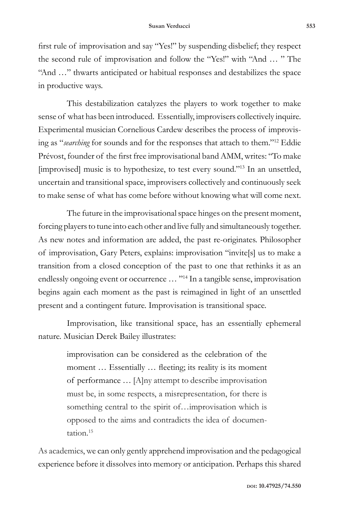first rule of improvisation and say "Yes!" by suspending disbelief; they respect the second rule of improvisation and follow the "Yes!" with "And … " The "And …" thwarts anticipated or habitual responses and destabilizes the space in productive ways.

This destabilization catalyzes the players to work together to make sense of what has been introduced. Essentially, improvisers collectively inquire. Experimental musician Cornelious Cardew describes the process of improvising as "*searching* for sounds and for the responses that attach to them."<sup>12</sup> Eddie Prévost, founder of the first free improvisational band AMM, writes: "To make [improvised] music is to hypothesize, to test every sound."13 In an unsettled, uncertain and transitional space, improvisers collectively and continuously seek to make sense of what has come before without knowing what will come next.

The future in the improvisational space hinges on the present moment, forcing players to tune into each other and live fully and simultaneously together. As new notes and information are added, the past re-originates. Philosopher of improvisation, Gary Peters, explains: improvisation "invite[s] us to make a transition from a closed conception of the past to one that rethinks it as an endlessly ongoing event or occurrence ... "<sup>14</sup> In a tangible sense, improvisation begins again each moment as the past is reimagined in light of an unsettled present and a contingent future. Improvisation is transitional space.

Improvisation, like transitional space, has an essentially ephemeral nature. Musician Derek Bailey illustrates:

> improvisation can be considered as the celebration of the moment ... Essentially ... fleeting; its reality is its moment of performance … [A]ny attempt to describe improvisation must be, in some respects, a misrepresentation, for there is something central to the spirit of...improvisation which is opposed to the aims and contradicts the idea of documentation.<sup>15</sup>

As academics, we can only gently apprehend improvisation and the pedagogical experience before it dissolves into memory or anticipation. Perhaps this shared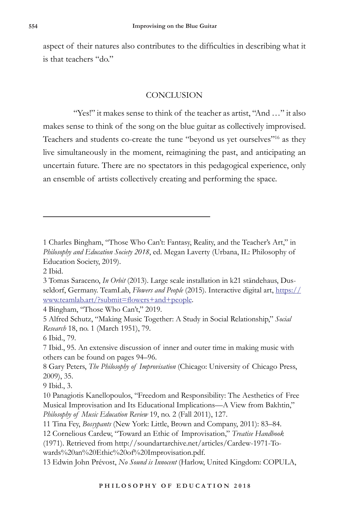aspect of their natures also contributes to the difficulties in describing what it is that teachers "do."

## **CONCLUSION**

 "Yes!" it makes sense to think of the teacher as artist, "And …" it also makes sense to think of the song on the blue guitar as collectively improvised. Teachers and students co-create the tune "beyond us yet ourselves"16 as they live simultaneously in the moment, reimagining the past, and anticipating an uncertain future. There are no spectators in this pedagogical experience, only an ensemble of artists collectively creating and performing the space.

4 Bingham, "Those Who Can't," 2019.

9 Ibid., 3.

<sup>1</sup> Charles Bingham, "Those Who Can't: Fantasy, Reality, and the Teacher's Art," in *Philosophy and Education Society 2018*, ed. Megan Laverty (Urbana, IL: Philosophy of Education Society, 2019).

<sup>2</sup> Ibid.

<sup>3</sup> Tomas Saraceno, *In Orbit* (2013). Large scale installation in k21 ständehaus, Dusseldorf, Germany. TeamLab, *Flowers and People* (2015). Interactive digital art, https:// www.teamlab.art/?submit=flowers+and+people.

<sup>5</sup> Alfred Schutz, "Making Music Together: A Study in Social Relationship," *Social Research* 18, no. 1 (March 1951), 79.

<sup>6</sup> Ibid., 79.

<sup>7</sup> Ibid., 95. An extensive discussion of inner and outer time in making music with others can be found on pages 94–96.

<sup>8</sup> Gary Peters, *The Philosophy of Improvisation* (Chicago: University of Chicago Press, 2009), 35.

<sup>10</sup> Panagiotis Kanellopoulos, "Freedom and Responsibility: The Aesthetics of Free Musical Improvisation and Its Educational Implications—A View from Bakhtin," *Philosophy of Music Education Review* 19, no. 2 (Fall 2011), 127.

<sup>11</sup> Tina Fey, *Bossypants* (New York: Little, Brown and Company, 2011): 83–84.

<sup>12</sup> Cornelious Cardew, "Toward an Ethic of Improvisation," *Treatise Handbook* 

<sup>(1971).</sup> Retrieved from http://soundartarchive.net/articles/Cardew-1971-Towards%20an%20Ethic%20of%20Improvisation.pdf.

<sup>13</sup> Edwin John Prévost, *No Sound is Innocent* (Harlow, United Kingdom: COPULA,